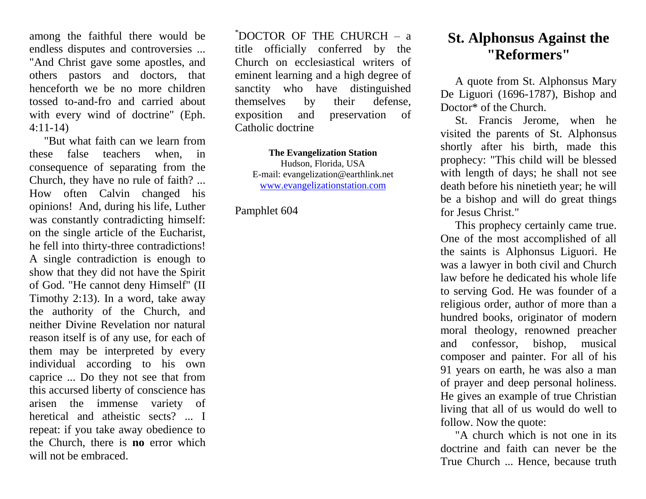among the faithful there would be endless disputes and controversies ... "And Christ gave some apostles, and others pastors and doctors, that henceforth we be no more children tossed to-and-fro and carried about with every wind of doctrine" (Eph. 4:11-14)

"But what faith can we learn from these false teachers when, in consequence of separating from the Church, they have no rule of faith? ... How often Calvin changed his opinions! And, during his life, Luther was constantly contradicting himself: on the single article of the Eucharist, he fell into thirty-three contradictions! A single contradiction is enough to show that they did not have the Spirit of God. "He cannot deny Himself" (II Timothy 2:13). In a word, take away the authority of the Church, and neither Divine Revelation nor natural reason itself is of any use, for each of them may be interpreted by every individual according to his own caprice ... Do they not see that from this accursed liberty of conscience has arisen the immense variety of heretical and atheistic sects? ... I repeat: if you take away obedience to the Church, there is **no** error which will not be embraced.

 $*$ DOCTOR OF THE CHURCH – a title officially conferred by the Church on ecclesiastical writers of eminent learning and a high degree of sanctity who have distinguished themselves by their defense, exposition and preservation of Catholic doctrine

**The Evangelization Station** Hudson, Florida, USA E-mail: evangelization@earthlink.net [www.evangelizationstation.com](http://www.pjpiisoe.org/)

Pamphlet 604

## **St. Alphonsus Against the "Reformers"**

A quote from St. Alphonsus Mary De Liguori (1696-1787), Bishop and Doctor<sup>\*</sup> of the Church.

St. Francis Jerome, when he visited the parents of St. Alphonsus shortly after his birth, made this prophecy: "This child will be blessed with length of days; he shall not see death before his ninetieth year; he will be a bishop and will do great things for Jesus Christ."

This prophecy certainly came true. One of the most accomplished of all the saints is Alphonsus Liguori. He was a lawyer in both civil and Church law before he dedicated his whole life to serving God. He was founder of a religious order, author of more than a hundred books, originator of modern moral theology, renowned preacher and confessor, bishop, musical composer and painter. For all of his 91 years on earth, he was also a man of prayer and deep personal holiness. He gives an example of true Christian living that all of us would do well to follow. Now the quote:

"A church which is not one in its doctrine and faith can never be the True Church ... Hence, because truth